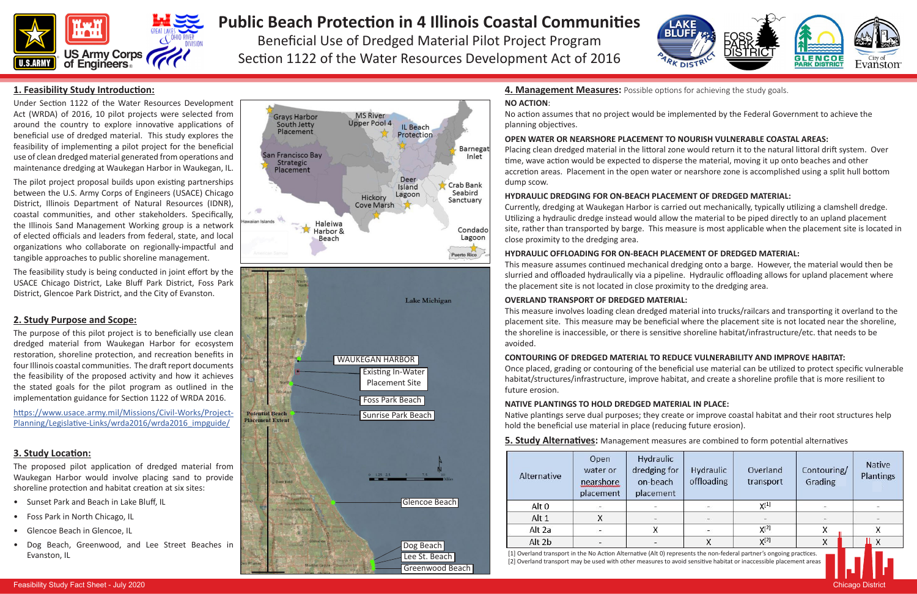

# **Public Beach Protection in 4 Illinois Coastal Communities**

Beneficial Use of Dredged Material Pilot Project Program Section 1122 of the Water Resources Development Act of 2016



| Alternative                                                                                                                                                                                                                              | Open<br>water or<br>nearshore<br>placement | Hydraulic<br>dredging for<br>on-beach<br>placement | <b>Hydraulic</b><br>offloading | Overland<br>transport | Contouring/<br>Grading | <b>Native</b><br>Plantings |
|------------------------------------------------------------------------------------------------------------------------------------------------------------------------------------------------------------------------------------------|--------------------------------------------|----------------------------------------------------|--------------------------------|-----------------------|------------------------|----------------------------|
| Alt 0                                                                                                                                                                                                                                    |                                            |                                                    |                                | $X^{[1]}$             |                        |                            |
| Alt 1                                                                                                                                                                                                                                    | X                                          |                                                    |                                |                       |                        |                            |
| Alt 2a                                                                                                                                                                                                                                   |                                            |                                                    |                                | $X^{[2]}$             |                        |                            |
| Alt 2b                                                                                                                                                                                                                                   |                                            |                                                    |                                | $X^{[2]}$             | х                      |                            |
| [1] Overland transport in the No Action Alternative (Alt 0) represents the non-federal partner's ongoing practices.<br>[2] Overland transport may be used with other measures to avoid sensitive habitat or inaccessible placement areas |                                            |                                                    |                                |                       |                        |                            |



Under Section 1122 of the Water Resources Development Act (WRDA) of 2016, 10 pilot projects were selected from around the country to explore innovative applications of beneficial use of dredged material. This study explores the feasibility of implementing a pilot project for the beneficial use of clean dredged material generated from operations and maintenance dredging at Waukegan Harbor in Waukegan, IL.

The pilot project proposal builds upon existing partnerships between the U.S. Army Corps of Engineers (USACE) Chicago District, Illinois Department of Natural Resources (IDNR), coastal communities, and other stakeholders. Specifically, the Illinois Sand Management Working group is a network of elected officials and leaders from federal, state, and local organizations who collaborate on regionally-impactful and tangible approaches to public shoreline management.

The feasibility study is being conducted in joint effort by the USACE Chicago District, Lake Bluff Park District, Foss Park District, Glencoe Park District, and the City of Evanston.



**5. Study Alternatives:** Management measures are combined to form potential alternatives

The purpose of this pilot project is to beneficially use clean dredged material from Waukegan Harbor for ecosystem restoration, shoreline protection, and recreation benefits in four Illinois coastal communities. The draft report documents the feasibility of the proposed activity and how it achieves the stated goals for the pilot program as outlined in the implementation guidance for Section 1122 of WRDA 2016.

https://www.usace.army.mil/Missions/Civil-Works/Project-Planning/Legislative-Links/wrda2016/wrda2016\_impguide/

# **2. Study Purpose and Scope:**

The proposed pilot application of dredged material from Waukegan Harbor would involve placing sand to provide shoreline protection and habitat creation at six sites:

- Sunset Park and Beach in Lake Bluff, IL
- Foss Park in North Chicago, IL
- Glencoe Beach in Glencoe, IL
- Dog Beach, Greenwood, and Lee Street Beaches in Evanston, IL

### **3. Study Location:**

#### **NO ACTION**:

No action assumes that no project would be implemented by the Federal Government to achieve the planning objectives.

# **OPEN WATER OR NEARSHORE PLACEMENT TO NOURISH VULNERABLE COASTAL AREAS:**

Placing clean dredged material in the littoral zone would return it to the natural littoral drift system. Over time, wave action would be expected to disperse the material, moving it up onto beaches and other accretion areas. Placement in the open water or nearshore zone is accomplished using a split hull bottom dump scow.

# **HYDRAULIC DREDGING FOR ON-BEACH PLACEMENT OF DREDGED MATERIAL:**

Currently, dredging at Waukegan Harbor is carried out mechanically, typically utilizing a clamshell dredge. Utilizing a hydraulic dredge instead would allow the material to be piped directly to an upland placement site, rather than transported by barge. This measure is most applicable when the placement site is located in close proximity to the dredging area.

### **HYDRAULIC OFFLOADING FOR ON-BEACH PLACEMENT OF DREDGED MATERIAL:**

This measure assumes continued mechanical dredging onto a barge. However, the material would then be slurried and offloaded hydraulically via a pipeline. Hydraulic offloading allows for upland placement where the placement site is not located in close proximity to the dredging area.

# **OVERLAND TRANSPORT OF DREDGED MATERIAL:**

This measure involves loading clean dredged material into trucks/railcars and transporting it overland to the placement site. This measure may be beneficial where the placement site is not located near the shoreline, the shoreline is inaccessible, or there is sensitive shoreline habitat/infrastructure/etc. that needs to be avoided.

# **CONTOURING OF DREDGED MATERIAL TO REDUCE VULNERABILITY AND IMPROVE HABITAT:**

Once placed, grading or contouring of the beneficial use material can be utilized to protect specific vulnerable habitat/structures/infrastructure, improve habitat, and create a shoreline profile that is more resilient to future erosion.

# **NATIVE PLANTINGS TO HOLD DREDGED MATERIAL IN PLACE:**

Native plantings serve dual purposes; they create or improve coastal habitat and their root structures help hold the beneficial use material in place (reducing future erosion).